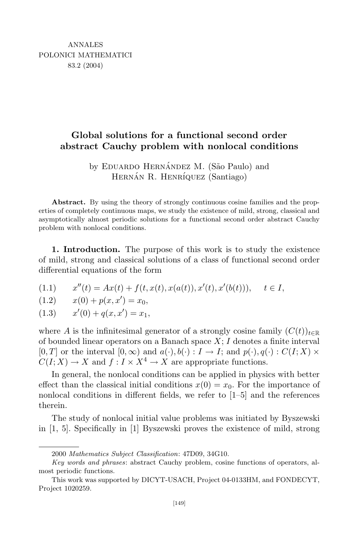## **Global solutions for a functional second order abstract Cauchy problem with nonlocal conditions**

by EDUARDO HERNÁNDEZ M. (São Paulo) and HERNÁN R. HENRÍQUEZ (Santiago)

**Abstract.** By using the theory of strongly continuous cosine families and the properties of completely continuous maps, we study the existence of mild, strong, classical and asymptotically almost periodic solutions for a functional second order abstract Cauchy problem with nonlocal conditions.

**1. Introduction.** The purpose of this work is to study the existence of mild, strong and classical solutions of a class of functional second order differential equations of the form

$$
(1.1) \t x''(t) = Ax(t) + f(t, x(t), x(a(t)), x'(t), x'(b(t))), \t t \in I,
$$

$$
(1.2) \t x(0) + p(x, x') = x_0,
$$

 $x'(0) + q(x, x') = x_1,$ 

where *A* is the infinitesimal generator of a strongly cosine family  $(C(t))_{t\in\mathbb{R}}$ of bounded linear operators on a Banach space *X*; *I* denotes a finite interval  $[0,T]$  or the interval  $[0,\infty)$  and  $a(\cdot),b(\cdot): I \to I$ ; and  $p(\cdot),q(\cdot): C(I;X) \times$  $C(I; X) \to X$  and  $f: I \times X^4 \to X$  are appropriate functions.

In general, the nonlocal conditions can be applied in physics with better effect than the classical initial conditions  $x(0) = x_0$ . For the importance of nonlocal conditions in different fields, we refer to [1–5] and the references therein.

The study of nonlocal initial value problems was initiated by Byszewski in [1, 5]. Specifically in [1] Byszewski proves the existence of mild, strong

<sup>2000</sup> *Mathematics Subject Classification*: 47D09, 34G10.

*Key words and phrases*: abstract Cauchy problem, cosine functions of operators, almost periodic functions.

This work was supported by DICYT-USACH, Project 04-0133HM, and FONDECYT, Project 1020259.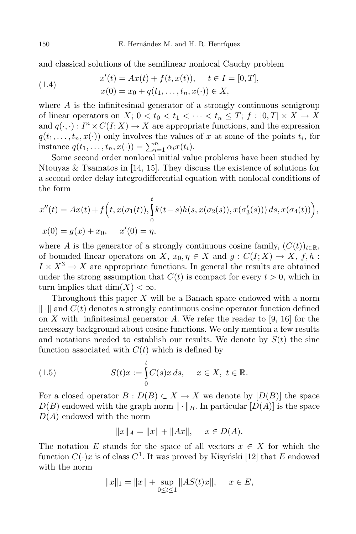and classical solutions of the semilinear nonlocal Cauchy problem

(1.4) 
$$
x'(t) = Ax(t) + f(t, x(t)), \quad t \in I = [0, T],
$$

$$
x(0) = x_0 + q(t_1, \dots, t_n, x(\cdot)) \in X,
$$

where *A* is the infinitesimal generator of a strongly continuous semigroup of linear operators on *X*;  $0 < t_0 < t_1 < \cdots < t_n \leq T$ ;  $f : [0, T] \times X \to X$ and  $q(\cdot, \cdot) : I^n \times C(I; X) \to X$  are appropriate functions, and the expression  $q(t_1, \ldots, t_n, x(\cdot))$  only involves the values of *x* at some of the points  $t_i$ , for instance  $q(t_1, ..., t_n, x(\cdot)) = \sum_{i=1}^n \alpha_i x(t_i)$ .

Some second order nonlocal initial value problems have been studied by Ntouyas & Tsamatos in [14, 15]. They discuss the existence of solutions for a second order delay integrodifferential equation with nonlocal conditions of the form

$$
x''(t) = Ax(t) + f(t, x(\sigma_1(t)), \int_0^t k(t-s)h(s, x(\sigma_2(s)), x(\sigma'_3(s))) ds, x(\sigma_4(t)),
$$
  

$$
x(0) = g(x) + x_0, \quad x'(0) = \eta,
$$

where *A* is the generator of a strongly continuous cosine family,  $(C(t))_{t\in\mathbb{R}}$ , of bounded linear operators on *X*,  $x_0, \eta \in X$  and  $q: C(I; X) \to X$ ,  $f, h$ :  $I \times X^3 \to X$  are appropriate functions. In general the results are obtained under the strong assumption that  $C(t)$  is compact for every  $t > 0$ , which in turn implies that  $\dim(X) < \infty$ .

Throughout this paper *X* will be a Banach space endowed with a norm  $\Vert \cdot \Vert$  and  $C(t)$  denotes a strongly continuous cosine operator function defined on *X* with infinitesimal generator *A*. We refer the reader to [9, 16] for the necessary background about cosine functions. We only mention a few results and notations needed to establish our results. We denote by  $S(t)$  the sine function associated with  $C(t)$  which is defined by

(1.5) 
$$
S(t)x := \int_{0}^{t} C(s)x ds, \quad x \in X, t \in \mathbb{R}.
$$

For a closed operator  $B: D(B) \subset X \to X$  we denote by  $[D(B)]$  the space  $D(B)$  endowed with the graph norm  $\|\cdot\|_B$ . In particular  $[D(A)]$  is the space *D*(*A*) endowed with the norm

$$
||x||_A = ||x|| + ||Ax||, \quad x \in D(A).
$$

The notation *E* stands for the space of all vectors  $x \in X$  for which the function  $C(\cdot)x$  is of class  $C^1$ . It was proved by Kisynski [12] that *E* endowed with the norm

$$
||x||_1 = ||x|| + \sup_{0 \le t \le 1} ||AS(t)x||, \quad x \in E,
$$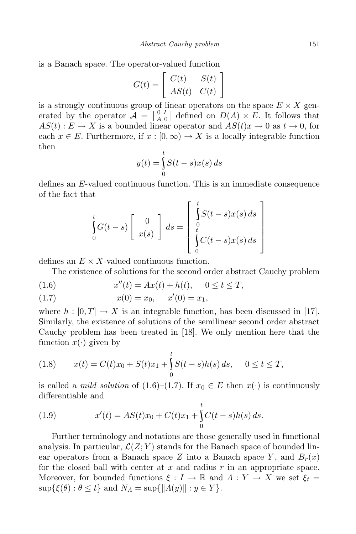is a Banach space. The operator-valued function

$$
G(t) = \left[ \begin{array}{cc} C(t) & S(t) \\ AS(t) & C(t) \end{array} \right]
$$

is a strongly continuous group of linear operators on the space  $E \times X$  generated by the operator  $A = \begin{bmatrix} 0 & I \\ A & C \end{bmatrix}$  $\left[\begin{array}{c} 0 & I \\ A & 0 \end{array}\right]$  defined on  $D(A) \times E$ . It follows that  $AS(t): E \to X$  is a bounded linear operator and  $AS(t)x \to 0$  as  $t \to 0$ , for each  $x \in E$ . Furthermore, if  $x : [0, \infty) \to X$  is a locally integrable function then

$$
y(t) = \int_{0}^{t} S(t - s)x(s) ds
$$

defines an *E*-valued continuous function. This is an immediate consequence of the fact that

$$
\int_{0}^{t} G(t-s) \left[ \begin{array}{c} 0 \\ x(s) \end{array} \right] ds = \left[ \begin{array}{c} t \\ \int_{0}^{t} S(t-s)x(s) ds \\ \int_{0}^{t} C(t-s)x(s) ds \end{array} \right]
$$

defines an  $E \times X$ -valued continuous function.

The existence of solutions for the second order abstract Cauchy problem

(1.6) 
$$
x''(t) = Ax(t) + h(t), \quad 0 \le t \le T,
$$

(1.7) 
$$
x(0) = x_0, \quad x'(0) = x_1,
$$

where  $h : [0, T] \to X$  is an integrable function, has been discussed in [17]. Similarly, the existence of solutions of the semilinear second order abstract Cauchy problem has been treated in [18]. We only mention here that the function  $x(\cdot)$  given by

(1.8) 
$$
x(t) = C(t)x_0 + S(t)x_1 + \int_0^t S(t-s)h(s) ds, \quad 0 \le t \le T,
$$

is called a *mild solution* of (1.6)–(1.7). If  $x_0 \in E$  then  $x(\cdot)$  is continuously differentiable and

(1.9) 
$$
x'(t) = AS(t)x_0 + C(t)x_1 + \int_0^t C(t-s)h(s) ds.
$$

Further terminology and notations are those generally used in functional analysis. In particular,  $\mathcal{L}(Z;Y)$  stands for the Banach space of bounded linear operators from a Banach space *Z* into a Banach space *Y*, and  $B_r(x)$ for the closed ball with center at *x* and radius *r* in an appropriate space. Moreover, for bounded functions  $\xi : I \to \mathbb{R}$  and  $\Lambda : Y \to X$  we set  $\xi_t =$  $\sup{\{\xi(\theta): \theta \leq t\}}$  and  $N_A = \sup{\{\|A(y)\| : y \in Y\}}$ .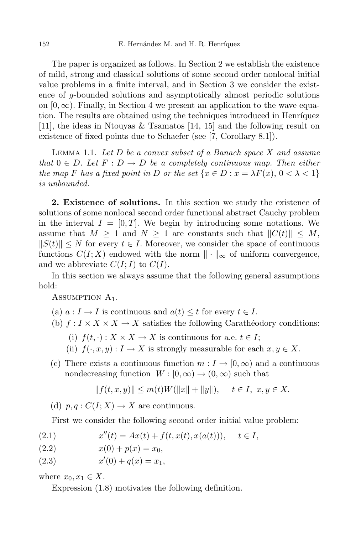The paper is organized as follows. In Section 2 we establish the existence of mild, strong and classical solutions of some second order nonlocal initial value problems in a finite interval, and in Section 3 we consider the existence of *g*-bounded solutions and asymptotically almost periodic solutions on  $[0, \infty)$ . Finally, in Section 4 we present an application to the wave equation. The results are obtained using the techniques introduced in Henríquez [11], the ideas in Ntouyas & Tsamatos [14, 15] and the following result on existence of fixed points due to Schaefer (see [7, Corollary 8.1]).

Lemma 1.1. *Let D be a convex subset of a Banach space X and assume that*  $0 \in D$ *. Let*  $F: D \to D$  *be a completely continuous map. Then either* the map F has a fixed point in D or the set  $\{x \in D : x = \lambda F(x), 0 < \lambda < 1\}$ *is unbounded.*

**2. Existence of solutions.** In this section we study the existence of solutions of some nonlocal second order functional abstract Cauchy problem in the interval  $I = [0, T]$ . We begin by introducing some notations. We assume that  $M \geq 1$  and  $N \geq 1$  are constants such that  $||C(t)|| \leq M$ ,  $\|S(t)\| \leq N$  for every  $t \in I$ . Moreover, we consider the space of continuous functions  $C(I; X)$  endowed with the norm  $\|\cdot\|_{\infty}$  of uniform convergence, and we abbreviate  $C(I; I)$  to  $C(I)$ .

In this section we always assume that the following general assumptions hold:

ASSUMPTION  $A_1$ .

- (a)  $a: I \to I$  is continuous and  $a(t) \leq t$  for every  $t \in I$ .
- (b)  $f: I \times X \times X \rightarrow X$  satisfies the following Carathéodory conditions:
	- (i)  $f(t, \cdot) : X \times X \to X$  is continuous for a.e.  $t \in I$ ;
	- (ii)  $f(\cdot, x, y) : I \to X$  is strongly measurable for each  $x, y \in X$ .
- (c) There exists a continuous function  $m: I \to [0, \infty)$  and a continuous nondecreasing function  $W : [0, \infty) \to (0, \infty)$  such that

$$
||f(t, x, y)|| \le m(t)W(||x|| + ||y||), \quad t \in I, \ x, y \in X.
$$

(d)  $p, q: C(I; X) \to X$  are continuous.

First we consider the following second order initial value problem:

(2.1) 
$$
x''(t) = Ax(t) + f(t, x(t), x(a(t))), \quad t \in I,
$$

- $x(0) + p(x) = x_0$
- (2.3)  $x'(0) + q(x) = x_1$ ,

where  $x_0, x_1 \in X$ .

Expression (1.8) motivates the following definition.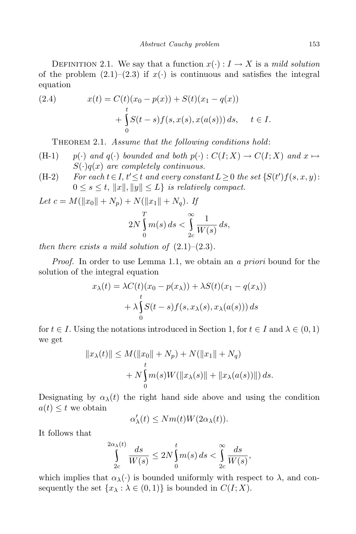DEFINITION 2.1. We say that a function  $x(\cdot) : I \to X$  is a *mild solution* of the problem  $(2.1)$ – $(2.3)$  if  $x(\cdot)$  is continuous and satisfies the integral equation

(2.4) 
$$
x(t) = C(t)(x_0 - p(x)) + S(t)(x_1 - q(x)) + \int_{0}^{t} S(t - s) f(s, x(s), x(a(s))) ds, \quad t \in I.
$$

Theorem 2.1. *Assume that the following conditions hold*:

- (H-1)  $p(\cdot)$  and  $q(\cdot)$  bounded and both  $p(\cdot) : C(I; X) \to C(I; X)$  and  $x \mapsto$  $S(\cdot)q(x)$  *are completely continuous.*
- (H-2) For each  $t \in I$ ,  $t' \leq t$  and every constant  $L \geq 0$  the set  $\{S(t')f(s,x,y):$  $0 \leq s \leq t$ ,  $||x||, ||y|| \leq L$ *} is relatively compact.*

*Let*  $c = M(||x_0|| + N_p) + N(||x_1|| + N_q)$ . If

$$
2N\int_{0}^{T}m(s)\,ds < \int_{2c}^{\infty}\frac{1}{W(s)}\,ds,
$$

*then there exists a mild solution of*  $(2.1)–(2.3)$ *.* 

*Proof.* In order to use Lemma 1.1, we obtain an *a priori* bound for the solution of the integral equation

$$
x_{\lambda}(t) = \lambda C(t)(x_0 - p(x_{\lambda})) + \lambda S(t)(x_1 - q(x_{\lambda}))
$$
  
+ 
$$
\lambda \int_{0}^{t} S(t - s) f(s, x_{\lambda}(s), x_{\lambda}(a(s))) ds
$$

for  $t \in I$ . Using the notations introduced in Section 1, for  $t \in I$  and  $\lambda \in (0,1)$ we get

$$
||x_{\lambda}(t)|| \leq M(||x_0|| + N_p) + N(||x_1|| + N_q) + N \int_{0}^{t} m(s)W(||x_{\lambda}(s)|| + ||x_{\lambda}(a(s))||) ds.
$$

Designating by  $\alpha_{\lambda}(t)$  the right hand side above and using the condition  $a(t) \leq t$  we obtain

$$
\alpha'_{\lambda}(t) \le Nm(t)W(2\alpha_{\lambda}(t)).
$$

It follows that

$$
\int_{2c}^{2\alpha_{\lambda}(t)} \frac{ds}{W(s)} \le 2N \int_{0}^{t} m(s) ds < \int_{2c}^{\infty} \frac{ds}{W(s)},
$$

which implies that  $\alpha_{\lambda}(\cdot)$  is bounded uniformly with respect to  $\lambda$ , and consequently the set  $\{x_{\lambda} : \lambda \in (0,1)\}$  is bounded in  $C(I; X)$ .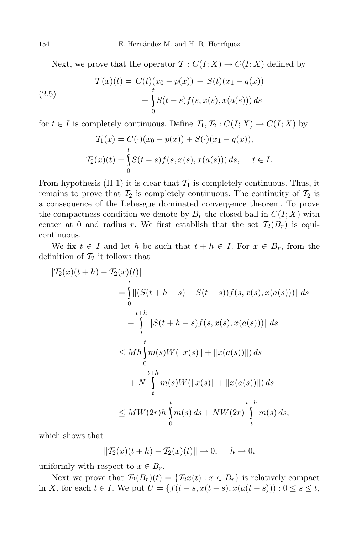Next, we prove that the operator  $\mathcal{T}: C(I;X) \to C(I;X)$  defined by

(2.5) 
$$
\begin{aligned} T(x)(t) &= C(t)(x_0 - p(x)) + S(t)(x_1 - q(x)) \\ &+ \int_0^t S(t - s) f(s, x(s), x(a(s))) \, ds \\ \end{aligned}
$$

for  $t \in I$  is completely continuous. Define  $\mathcal{T}_1, \mathcal{T}_2 : C(I; X) \to C(I; X)$  by

$$
T_1(x) = C(\cdot)(x_0 - p(x)) + S(\cdot)(x_1 - q(x)),
$$
  
\n
$$
T_2(x)(t) = \int_0^t S(t - s) f(s, x(s), x(a(s))) ds, \quad t \in I.
$$

From hypothesis  $(H-1)$  it is clear that  $\mathcal{T}_1$  is completely continuous. Thus, it remains to prove that  $\mathcal{T}_2$  is completely continuous. The continuity of  $\mathcal{T}_2$  is a consequence of the Lebesgue dominated convergence theorem. To prove the compactness condition we denote by  $B_r$  the closed ball in  $C(I; X)$  with center at 0 and radius *r*. We first establish that the set  $\mathcal{T}_2(B_r)$  is equicontinuous.

We fix  $t \in I$  and let *h* be such that  $t + h \in I$ . For  $x \in B_r$ , from the definition of  $\mathcal{T}_2$  it follows that

$$
\|T_2(x)(t+h) - T_2(x)(t)\|
$$
  
= 
$$
\int_{0}^{t} \|(S(t+h-s) - S(t-s))f(s, x(s), x(a(s)))\| ds
$$
  
+ 
$$
\int_{t+h}^{t+h} \|S(t+h-s)f(s, x(s), x(a(s)))\| ds
$$
  

$$
\leq Mh \int_{0}^{t} m(s)W(\|x(s)\| + \|x(a(s))\|) ds
$$
  
+ 
$$
+ N \int_{t}^{t+h} m(s)W(\|x(s)\| + \|x(a(s))\|) ds
$$
  

$$
\leq MW(2r)h \int_{0}^{t} m(s) ds + NW(2r) \int_{t}^{t+h} m(s) ds,
$$

which shows that

$$
\|\mathcal{T}_2(x)(t+h) - \mathcal{T}_2(x)(t)\| \to 0, \quad h \to 0,
$$

uniformly with respect to  $x \in B_r$ .

Next we prove that  $\mathcal{T}_2(B_r)(t) = {\mathcal{T}_2x(t) : x \in B_r}$  is relatively compact in X, for each  $t \in I$ . We put  $U = \{f(t-s, x(t-s), x(a(t-s))): 0 \le s \le t,$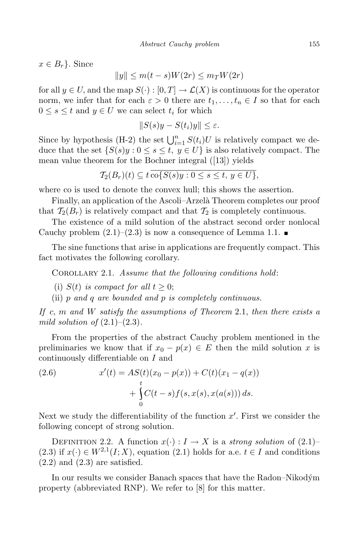$x \in B_r$ . Since

$$
||y|| \le m(t-s)W(2r) \le m_T W(2r)
$$

for all  $y \in U$ , and the map  $S(\cdot) : [0, T] \to \mathcal{L}(X)$  is continuous for the operator norm, we infer that for each  $\varepsilon > 0$  there are  $t_1, \ldots, t_n \in I$  so that for each  $0 \leq s \leq t$  and  $y \in U$  we can select  $t_i$  for which

$$
||S(s)y - S(t_i)y|| \le \varepsilon.
$$

Since by hypothesis (H-2) the set  $\bigcup_{i=1}^{n} S(t_i)U$  is relatively compact we deduce that the set  $\{S(s)y : 0 \le s \le t, y \in U\}$  is also relatively compact. The mean value theorem for the Bochner integral ([13]) yields

$$
\mathcal{T}_2(B_r)(t) \subseteq t \overline{\operatorname{co} \{S(s)y : 0 \le s \le t, y \in U\}},
$$

where co is used to denote the convex hull; this shows the assertion.

Finally, an application of the Ascoli–Arzelà Theorem completes our proof that  $\mathcal{T}_2(B_r)$  is relatively compact and that  $\mathcal{T}_2$  is completely continuous.

The existence of a mild solution of the abstract second order nonlocal Cauchy problem  $(2.1)$ – $(2.3)$  is now a consequence of Lemma 1.1.

The sine functions that arise in applications are frequently compact. This fact motivates the following corollary.

Corollary 2.1. *Assume that the following conditions hold*:

(i)  $S(t)$  *is compact for all*  $t \geq 0$ ;

(ii) *p and q are bounded and p is completely continuous.*

*If c, m and W satisfy the assumptions of Theorem* 2.1, *then there exists a mild solution* of  $(2.1)–(2.3)$ *.* 

From the properties of the abstract Cauchy problem mentioned in the preliminaries we know that if  $x_0 - p(x) \in E$  then the mild solution x is continuously differentiable on *I* and

(2.6) 
$$
x'(t) = AS(t)(x_0 - p(x)) + C(t)(x_1 - q(x)) + \int_{0}^{t} C(t - s) f(s, x(s), x(a(s))) ds.
$$

Next we study the differentiability of the function  $x'$ . First we consider the following concept of strong solution.

DEFINITION 2.2. A function  $x(\cdot): I \to X$  is a *strong solution* of  $(2.1)$ – (2.3) if  $x(\cdot) \in W^{2,1}(I; X)$ , equation (2.1) holds for a.e.  $t \in I$  and conditions  $(2.2)$  and  $(2.3)$  are satisfied.

In our results we consider Banach spaces that have the Radon–Nikodym´ property (abbreviated RNP). We refer to [8] for this matter.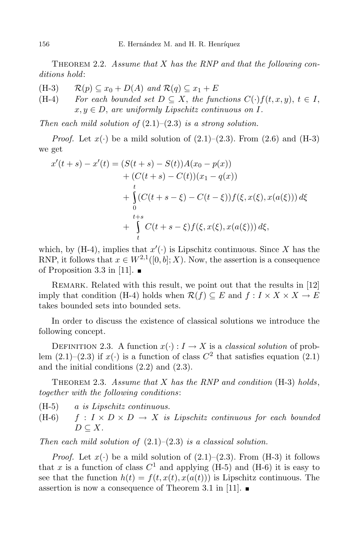THEOREM 2.2. *Assume that X has the RNP* and *that the following conditions hold*:

(H-3)  $\mathcal{R}(p) \subseteq x_0 + D(A)$  and  $\mathcal{R}(q) \subseteq x_1 + E$ <br>(H-4) For each bounded set  $D \subseteq X$ , the fun

*For each bounded set*  $D \subseteq X$ , *the functions*  $C(\cdot)f(t, x, y)$ ,  $t \in I$ ,  $x, y \in D$ , are *uniformly Lipschitz continuous on I.* 

*Then each mild solution of* (2.1)–(2.3) *is a strong solution.*

*Proof.* Let  $x(\cdot)$  be a mild solution of  $(2.1)$ – $(2.3)$ . From  $(2.6)$  and  $(H-3)$ we get

$$
x'(t+s) - x'(t) = (S(t+s) - S(t))A(x_0 - p(x))
$$
  
+  $(C(t+s) - C(t))(x_1 - q(x))$   
+  $\int_{0}^{t} (C(t+s-\xi) - C(t-\xi))f(\xi, x(\xi), x(a(\xi))) d\xi$   
+  $\int_{t+s}^{t+s} C(t+s-\xi)f(\xi, x(\xi), x(a(\xi))) d\xi$ ,

which, by (H-4), implies that  $x'(\cdot)$  is Lipschitz continuous. Since *X* has the RNP, it follows that  $x \in W^{2,1}([0, b]; X)$ . Now, the assertion is a consequence of Proposition 3.3 in [11].  $\blacksquare$ 

REMARK. Related with this result, we point out that the results in [12] imply that condition (H-4) holds when  $\mathcal{R}(f) \subseteq E$  and  $f: I \times X \times X \to E$ takes bounded sets into bounded sets.

In order to discuss the existence of classical solutions we introduce the following concept.

DEFINITION 2.3. A function  $x(\cdot): I \to X$  is a *classical solution* of problem  $(2.1)$ – $(2.3)$  if  $x(·)$  is a function of class  $C^2$  that satisfies equation  $(2.1)$ and the initial conditions (2.2) and (2.3).

Theorem 2.3. *Assume that X has the RNP and condition* (H-3) *holds*, *together with the following conditions*:

- (H-5) *a is Lipschitz continuous.*
- (H-6)  $f: I \times D \times D \rightarrow X$  *is Lipschitz continuous for each bounded*  $D \subseteq X$ *.*

*Then each mild solution of* (2.1)–(2.3) *is a classical solution.*

*Proof.* Let  $x(\cdot)$  be a mild solution of  $(2.1)$ – $(2.3)$ . From  $(H-3)$  it follows that *x* is a function of class  $C^1$  and applying (H-5) and (H-6) it is easy to see that the function  $h(t) = f(t, x(t), x(a(t)))$  is Lipschitz continuous. The assertion is now a consequence of Theorem 3.1 in [11].  $\blacksquare$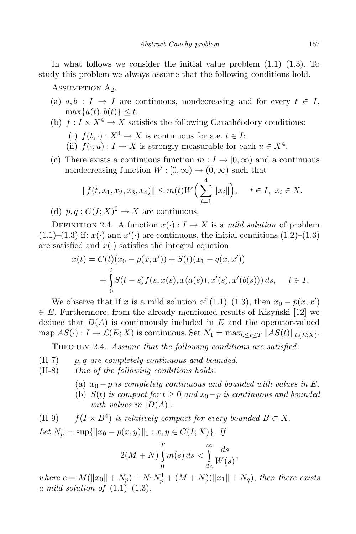In what follows we consider the initial value problem  $(1.1)$ – $(1.3)$ . To study this problem we always assume that the following conditions hold.

ASSUMPTION  $A_2$ .

- (a)  $a, b : I \rightarrow I$  are continuous, nondecreasing and for every  $t \in I$ ,  $\max\{a(t), b(t)\} \leq t$ .
- (b)  $f: I \times X^4 \to X$  satisfies the following Carathéodory conditions:
	- (i)  $f(t, \cdot) : X^4 \to X$  is continuous for a.e.  $t \in I$ ;
	- (ii)  $f(\cdot, u) : I \to X$  is strongly measurable for each  $u \in X^4$ .
- (c) There exists a continuous function  $m: I \to [0, \infty)$  and a continuous nondecreasing function  $W : [0, \infty) \to (0, \infty)$  such that

$$
||f(t, x_1, x_2, x_3, x_4)|| \le m(t)W\Big(\sum_{i=1}^4 ||x_i||\Big), \quad t \in I, \ x_i \in X.
$$

(d)  $p, q: C(I; X)^2 \to X$  are continuous.

DEFINITION 2.4. A function  $x(\cdot): I \to X$  is a *mild solution* of problem  $(1.1)$ – $(1.3)$  if:  $x(\cdot)$  and  $x'(\cdot)$  are continuous, the initial conditions  $(1.2)$ – $(1.3)$ are satisfied and  $x(\cdot)$  satisfies the integral equation

$$
x(t) = C(t)(x_0 - p(x, x')) + S(t)(x_1 - q(x, x'))
$$
  
+ 
$$
\int_{0}^{t} S(t - s) f(s, x(s), x(a(s)), x'(s), x'(b(s))) ds, \quad t \in I.
$$

We observe that if *x* is a mild solution of  $(1.1)–(1.3)$ , then  $x_0 - p(x, x')$  $∈ E$ . Furthermore, from the already mentioned results of Kisynski [12] we deduce that *D*(*A*) is continuously included in *E* and the operator-valued  $\text{map } AS(\cdot) : I \to \mathcal{L}(E; X) \text{ is continuous. Set } N_1 = \max_{0 \le t \le T} ||AS(t)||_{\mathcal{L}(E; X)}.$ 

Theorem 2.4. *Assume that the following conditions are satisfied*:

- (H-7) *p, q are completely continuous and bounded.*
- (H-8) *One of the following conditions holds*:
	- (a)  $x_0 p$  *is completely continuous and bounded with values in*  $E$ .
	- (b)  $S(t)$  *is compact for*  $t \geq 0$  *and*  $x_0 p$  *is continuous and bounded with values in*  $[D(A)]$ *.*

(H-9)  $f(I \times B^4)$  *is relatively compact for every bounded*  $B \subset X$ *.* 

*Let*  $N_p^1 = \sup\{\|x_0 - p(x, y)\|_1 : x, y \in C(I; X)\}$ *. If* 

$$
2(M+N)\int_{0}^{T}m(s)\,ds < \int_{2c}^{\infty}\frac{ds}{W(s)},
$$

 $where \ c = M(||x_0|| + N_p) + N_1N_p^1 + (M+N)(||x_1|| + N_q), \ then \ there \ exists$ *a mild solution of* (1.1)–(1.3)*.*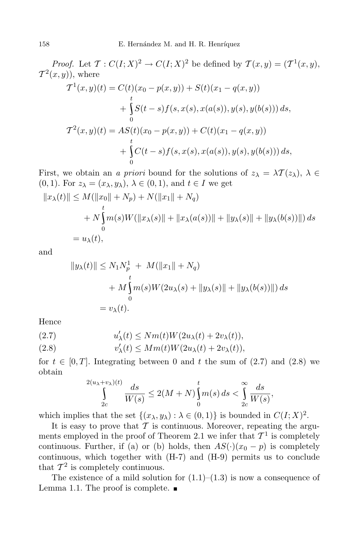*Proof.* Let  $\mathcal{T}: C(I; X)^2 \to C(I; X)^2$  be defined by  $\mathcal{T}(x, y) = (\mathcal{T}^1(x, y),$  $\mathcal{T}^2(x,y)$ , where

$$
T^{1}(x, y)(t) = C(t)(x_{0} - p(x, y)) + S(t)(x_{1} - q(x, y))
$$
  
+ 
$$
\int_{0}^{t} S(t - s) f(s, x(s), x(a(s)), y(s), y(b(s))) ds,
$$
  

$$
T^{2}(x, y)(t) = AS(t)(x_{0} - p(x, y)) + C(t)(x_{1} - q(x, y))
$$
  
+ 
$$
\int_{0}^{t} C(t - s) f(s, x(s), x(a(s)), y(s), y(b(s))) ds,
$$

First, we obtain an *a priori* bound for the solutions of  $z_{\lambda} = \lambda \mathcal{T}(z_{\lambda}), \lambda \in$  $(0, 1)$ . For  $z_{\lambda} = (x_{\lambda}, y_{\lambda}), \lambda \in (0, 1),$  and  $t \in I$  we get

$$
||x_{\lambda}(t)|| \leq M(||x_0|| + N_p) + N(||x_1|| + N_q)
$$
  
+  $N \int_0^t m(s)W(||x_{\lambda}(s)|| + ||x_{\lambda}(a(s))|| + ||y_{\lambda}(s)|| + ||y_{\lambda}(b(s))||) ds$   
=  $u_{\lambda}(t)$ ,

and

$$
||y_{\lambda}(t)|| \le N_1 N_p^1 + M(||x_1|| + N_q) + M \int_{0}^{t} m(s)W(2u_{\lambda}(s) + ||y_{\lambda}(s)|| + ||y_{\lambda}(b(s))||) ds = v_{\lambda}(t).
$$

Hence

(2.7) 
$$
u'_{\lambda}(t) \le Nm(t)W(2u_{\lambda}(t) + 2v_{\lambda}(t)),
$$

(2.8) 
$$
v'_{\lambda}(t) \leq Mm(t)W(2u_{\lambda}(t) + 2v_{\lambda}(t)),
$$

for  $t \in [0, T]$ . Integrating between 0 and t the sum of  $(2.7)$  and  $(2.8)$  we obtain

$$
\int_{2c}^{2(u_{\lambda}+v_{\lambda})(t)}\frac{ds}{W(s)} \leq 2(M+N)\int_{0}^{t}m(s)\,ds < \int_{2c}^{\infty}\frac{ds}{W(s)},
$$

which implies that the set  $\{(x_{\lambda}, y_{\lambda}) : \lambda \in (0, 1)\}$  is bounded in  $C(I; X)^2$ .

It is easy to prove that  $\mathcal T$  is continuous. Moreover, repeating the arguments employed in the proof of Theorem 2.1 we infer that  $\mathcal{T}^1$  is completely continuous. Further, if (a) or (b) holds, then  $AS(\cdot)(x_0 - p)$  is completely continuous, which together with (H-7) and (H-9) permits us to conclude that  $\mathcal{T}^2$  is completely continuous.

The existence of a mild solution for  $(1.1)$ – $(1.3)$  is now a consequence of Lemma 1.1. The proof is complete.  $\blacksquare$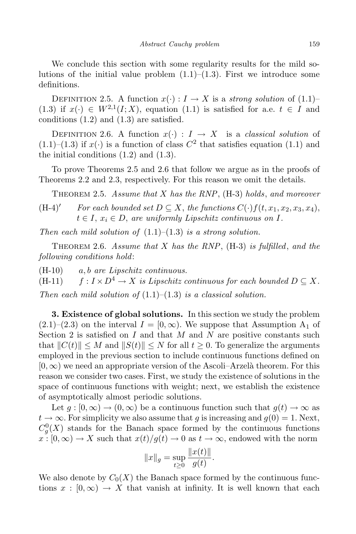We conclude this section with some regularity results for the mild solutions of the initial value problem  $(1.1)$ – $(1.3)$ . First we introduce some definitions.

DEFINITION 2.5. A function  $x(\cdot): I \to X$  is a *strong solution* of  $(1.1)$ – (1.3) if  $x(\cdot) \in W^{2,1}(I; X)$ , equation (1.1) is satisfied for a.e.  $t \in I$  and conditions (1.2) and (1.3) are satisfied.

DEFINITION 2.6. A function  $x(\cdot) : I \to X$  is a *classical solution* of  $(1.1)$ – $(1.3)$  if  $x(·)$  is a function of class  $C^2$  that satisfies equation  $(1.1)$  and the initial conditions  $(1.2)$  and  $(1.3)$ .

To prove Theorems 2.5 and 2.6 that follow we argue as in the proofs of Theorems 2.2 and 2.3, respectively. For this reason we omit the details.

Theorem 2.5. *Assume that X has the RNP*, (H-3) *holds*, *and moreover*

 $(H-4)'$  For each bounded set  $D \subseteq X$ , the functions  $C(\cdot) f(t, x_1, x_2, x_3, x_4)$ ,  $t \in I$ ,  $x_i \in D$ , are *uniformly Lipschitz continuous on*  $I$ *.* 

*Then* each mild solution of  $(1.1)–(1.3)$  *is* a *strong solution.* 

Theorem 2.6. *Assume that X has the RNP*, (H-3) *is fulfilled*, *and the following conditions hold*:

(H-10) *a, b are Lipschitz continuous.*

(H-11)  $f: I \times D^4 \to X$  *is Lipschitz continuous for each bounded*  $D \subseteq X$ *. Then each mild solution of* (1.1)–(1.3) *is a classical solution.*

**3. Existence of global solutions.** In this section we study the problem  $(2.1)$ – $(2.3)$  on the interval  $I = [0, \infty)$ . We suppose that Assumption A<sub>1</sub> of Section 2 is satisfied on *I* and that *M* and *N* are positive constants such that  $||C(t)|| \leq M$  and  $||S(t)|| \leq N$  for all  $t \geq 0$ . To generalize the arguments employed in the previous section to include continuous functions defined on [0*,∞*) we need an appropriate version of the Ascoli–Arzel`a theorem. For this reason we consider two cases. First, we study the existence of solutions in the space of continuous functions with weight; next, we establish the existence of asymptotically almost periodic solutions.

Let  $g: [0, \infty) \to (0, \infty)$  be a continuous function such that  $g(t) \to \infty$  as  $t \to \infty$ . For simplicity we also assume that *g* is increasing and  $g(0) = 1$ . Next,  $C_g^0(X)$  stands for the Banach space formed by the continuous functions  $x : [0, \infty) \to X$  such that  $x(t)/g(t) \to 0$  as  $t \to \infty$ , endowed with the norm

$$
||x||_g = \sup_{t \geq 0} \frac{||x(t)||}{g(t)}.
$$

We also denote by  $C_0(X)$  the Banach space formed by the continuous functions  $x : [0, \infty) \to X$  that vanish at infinity. It is well known that each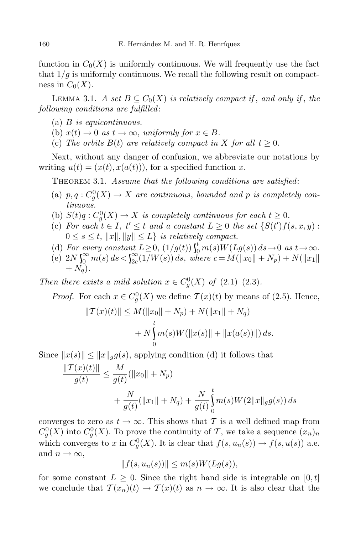function in  $C_0(X)$  is uniformly continuous. We will frequently use the fact that  $1/q$  is uniformly continuous. We recall the following result on compactness in  $C_0(X)$ .

LEMMA 3.1. *A set*  $B \subseteq C_0(X)$  *is relatively compact if, and only if, the following conditions are fulfilled*:

- (a) *B is equicontinuous.*
- (b)  $x(t) \to 0$  *as*  $t \to \infty$ *, uniformly for*  $x \in B$ *.*
- (c) The *orbits*  $B(t)$  *are relatively compact in*  $X$  *for all*  $t \geq 0$ *.*

Next, without any danger of confusion, we abbreviate our notations by writing  $u(t) = (x(t), x(a(t)))$ , for a specified function x.

Theorem 3.1. *Assume that the following conditions are satisfied*:

- (a)  $p, q: C_g^0(X) \to X$  *are continuous, bounded and*  $p$  *is completely continuous.*
- (b)  $S(t)q: C_q^0(X) \to X$  *is completely continuous for each*  $t \geq 0$ .
- (c) For each  $t \in I$ ,  $t' \leq t$  and a constant  $L \geq 0$  the set  $\{S(t')f(s,x,y):$  $0 \leq s \leq t$ ,  $||x||, ||y|| \leq L$ *) is relatively compact.*
- (d) For every constant  $L \geq 0$ ,  $(1/g(t)) \int_0^t m(s) W(Lg(s)) ds \to 0$  as  $t \to \infty$ .
- (e)  $2N \int_{0}^{\infty} m(s) ds < \int_{2c}^{\infty} (1/W(s)) ds$ , where  $c = M(||x_0|| + N_p) + N(||x_1||)$  $+ N_q$ ).

*Then there exists a mild solution*  $x \in C_g^0(X)$  *of*  $(2.1)–(2.3)$ *.* 

*Proof.* For each  $x \in C_g^0(X)$  we define  $\mathcal{T}(x)(t)$  by means of (2.5). Hence,

$$
||\mathcal{T}(x)(t)|| \le M(||x_0|| + N_p) + N(||x_1|| + N_q)
$$
  
+  $N \int_0^t m(s)W(||x(s)|| + ||x(a(s))||) ds.$ 

Since  $||x(s)|| \le ||x||_q g(s)$ , applying condition (d) it follows that

$$
\frac{\|T(x)(t)\|}{g(t)} \le \frac{M}{g(t)}(\|x_0\| + N_p) + \frac{N}{g(t)}(\|x_1\| + N_q) + \frac{N}{g(t)} \int_0^t m(s)W(2\|x\|_g g(s)) ds
$$

converges to zero as  $t \to \infty$ . This shows that  $\mathcal T$  is a well defined map from  $C_g^0(X)$  into  $C_g^0(X)$ . To prove the continuity of *T*, we take a sequence  $(x_n)_n$ which converges to *x* in  $C_g^0(X)$ . It is clear that  $f(s, u_n(s)) \to f(s, u(s))$  a.e. and  $n \to \infty$ ,

$$
||f(s, u_n(s))|| \le m(s)W(Lg(s)),
$$

for some constant  $L \geq 0$ . Since the right hand side is integrable on  $[0, t]$ we conclude that  $\mathcal{T}(x_n)(t) \to \mathcal{T}(x)(t)$  as  $n \to \infty$ . It is also clear that the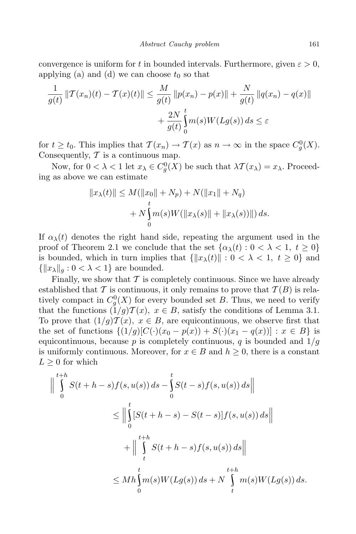convergence is uniform for *t* in bounded intervals. Furthermore, given  $\varepsilon > 0$ , applying (a) and (d) we can choose  $t_0$  so that

$$
\frac{1}{g(t)} \|\mathcal{T}(x_n)(t) - \mathcal{T}(x)(t)\| \le \frac{M}{g(t)} \|p(x_n) - p(x)\| + \frac{N}{g(t)} \|q(x_n) - q(x)\| + \frac{2N}{g(t)} \int_0^t m(s)W(Lg(s)) ds \le \varepsilon
$$

for  $t \ge t_0$ . This implies that  $\mathcal{T}(x_n) \to \mathcal{T}(x)$  as  $n \to \infty$  in the space  $C_g^0(X)$ . Consequently, *T* is a continuous map.

Now, for  $0 < \lambda < 1$  let  $x_{\lambda} \in C_g^0(X)$  be such that  $\lambda \mathcal{T}(x_{\lambda}) = x_{\lambda}$ . Proceeding as above we can estimate

$$
||x_{\lambda}(t)|| \leq M(||x_0|| + N_p) + N(||x_1|| + N_q) + N \int_0^t m(s)W(||x_{\lambda}(s)|| + ||x_{\lambda}(s))||) ds.
$$

If  $\alpha_{\lambda}(t)$  denotes the right hand side, repeating the argument used in the proof of Theorem 2.1 we conclude that the set  $\{\alpha_{\lambda}(t): 0 < \lambda < 1, t \geq 0\}$ is bounded, which in turn implies that  $\{\|x_{\lambda}(t)\| : 0 < \lambda < 1, t \geq 0\}$  and  $\{\|x_{\lambda}\|_{q}: 0 < \lambda < 1\}$  are bounded.

Finally, we show that  $\mathcal T$  is completely continuous. Since we have already established that  $\mathcal T$  is continuous, it only remains to prove that  $\mathcal T(B)$  is relatively compact in  $C_g^0(X)$  for every bounded set *B*. Thus, we need to verify that the functions  $(1/g)T(x)$ ,  $x \in B$ , satisfy the conditions of Lemma 3.1. To prove that  $(1/g)T(x)$ ,  $x \in B$ , are equicontinuous, we observe first that the set of functions  $\{(1/g)[C(\cdot)(x_0 - p(x)) + S(\cdot)(x_1 - q(x))] : x \in B\}$  is equicontinuous, because  $p$  is completely continuous,  $q$  is bounded and  $1/g$ is uniformly continuous. Moreover, for  $x \in B$  and  $h \geq 0$ , there is a constant  $L \geq 0$  for which

$$
\left\| \int_{0}^{t+h} S(t+h-s) f(s, u(s)) ds - \int_{0}^{t} S(t-s) f(s, u(s)) ds \right\|
$$
  
\n
$$
\leq \left\| \int_{0}^{t} [S(t+h-s) - S(t-s)] f(s, u(s)) ds \right\|
$$
  
\n
$$
+ \left\| \int_{t}^{t+h} S(t+h-s) f(s, u(s)) ds \right\|
$$
  
\n
$$
\leq M h \int_{0}^{t} m(s) W(Lg(s)) ds + N \int_{t}^{t+h} m(s) W(Lg(s)) ds.
$$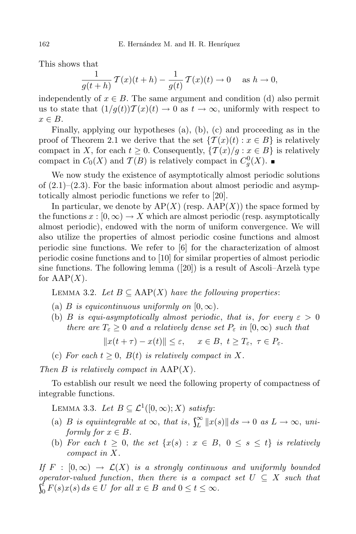This shows that

$$
\frac{1}{g(t+h)} \mathcal{T}(x)(t+h) - \frac{1}{g(t)} \mathcal{T}(x)(t) \to 0 \quad \text{as } h \to 0,
$$

independently of  $x \in B$ . The same argument and condition (d) also permit us to state that  $(1/g(t))\mathcal{T}(x)(t) \to 0$  as  $t \to \infty$ , uniformly with respect to *x ∈ B*.

Finally, applying our hypotheses (a), (b), (c) and proceeding as in the proof of Theorem 2.1 we derive that the set  $\{T(x)(t): x \in B\}$  is relatively compact in *X*, for each  $t \geq 0$ . Consequently,  $\{\mathcal{T}(x)/g : x \in B\}$  is relatively compact in  $C_0(X)$  and  $\mathcal{T}(B)$  is relatively compact in  $C_g^0(X)$ .

We now study the existence of asymptotically almost periodic solutions of  $(2.1)$ – $(2.3)$ . For the basic information about almost periodic and asymptotically almost periodic functions we refer to [20].

In particular, we denote by  $AP(X)$  (resp.  $AAP(X)$ ) the space formed by the functions  $x : [0, \infty) \to X$  which are almost periodic (resp. asymptotically almost periodic), endowed with the norm of uniform convergence. We will also utilize the properties of almost periodic cosine functions and almost periodic sine functions. We refer to [6] for the characterization of almost periodic cosine functions and to [10] for similar properties of almost periodic sine functions. The following lemma  $([20])$  is a result of Ascoli–Arzelà type for  $AAP(X)$ .

Lemma 3.2. *Let B ⊆* AAP(*X*) *have the following properties*:

- (a) *B is equicontinuous uniformly on*  $[0, \infty)$ *.*
- (b) *B is equi-asymptotically almost periodic, that is, for every*  $\varepsilon > 0$ *there are*  $T_{\varepsilon} \geq 0$  *and a relatively dense set*  $P_{\varepsilon}$  *in*  $[0, \infty)$  *such that*

 $\|x(t+\tau) - x(t)\| \leq \varepsilon$ ,  $x \in B$ ,  $t \geq T_{\varepsilon}$ ,  $\tau \in P_{\varepsilon}$ .

(c) For each  $t \geq 0$ ,  $B(t)$  is relatively compact in X.

*Then B is relatively compact in* AAP(*X*)*.*

To establish our result we need the following property of compactness of integrable functions.

LEMMA 3.3. *Let B* ⊆  $\mathcal{L}^1([0, \infty); X)$  *satisfy*:

- (a) *B is equiintegrable at*  $\infty$ *, that is*,  $\int_{L}^{\infty} ||x(s)|| ds \to 0$  *as*  $L \to \infty$ *, uniformly for*  $x \in B$ *.*
- (b) For each  $t \geq 0$ , the set  $\{x(s): x \in B, 0 \leq s \leq t\}$  is relatively *compact in X.*

*If*  $F : [0, \infty) \rightarrow \mathcal{L}(X)$  *is a strongly continuous and uniformly bounded operator-valued function*, *then there is a compact set*  $U \subseteq X$  *such that*  $\int_0^t F(s)$  $\int_{0}^{t} F(s)x(s) ds \in U$  for all  $x \in B$  and  $0 \le t \le \infty$ .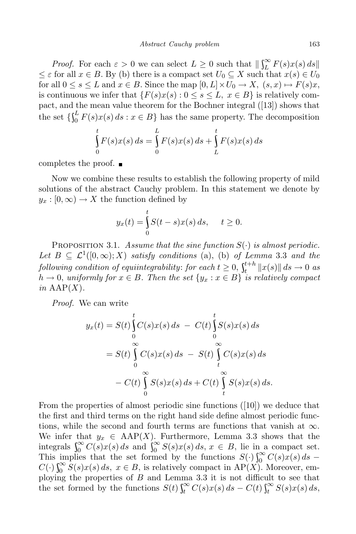*Proof.* For each  $\varepsilon > 0$  we can select  $L \geq 0$  such that  $\left| \int_{L}^{\infty} F(s) x(s) \, ds \right|$  $\leq \varepsilon$  for all  $x \in B$ . By (b) there is a compact set  $U_0 \subseteq X$  such that  $x(s) \in U_0$ for all  $0 \le s \le L$  and  $x \in B$ . Since the map  $[0, L] \times U_0 \to X$ ,  $(s, x) \mapsto F(s)x$ , is continuous we infer that  ${F(s)x(s): 0 \le s \le L, x \in B}$  is relatively compact, and the mean value theorem for the Bochner integral ([13]) shows that the set  $\{\int_0^L F(s)$  $\binom{p}{0} F(s)x(s) ds : x \in B$  has the same property. The decomposition

$$
\int_{0}^{t} F(s)x(s) ds = \int_{0}^{L} F(s)x(s) ds + \int_{L}^{t} F(s)x(s) ds
$$

completes the proof.  $\blacksquare$ 

Now we combine these results to establish the following property of mild solutions of the abstract Cauchy problem. In this statement we denote by  $y_x$ :  $[0, \infty) \rightarrow X$  the function defined by

$$
y_x(t) = \int_0^t S(t-s)x(s) ds, \quad t \ge 0.
$$

PROPOSITION 3.1. Assume that the sine function  $S(\cdot)$  is almost periodic. Let  $B \subseteq L^1([0,\infty);X)$  *satisfy conditions* (a), (b) *of Lemma* 3.3 *and the*  $f$ *ollowing condition of equiintegrability: for each*  $t \geq 0$ *,*  $\int_{t}^{t+h}$  $\|x\|$  $\int_{t}^{t+n} \|x(s)\| ds \to 0$  *as*  $h \to 0$ , uniformly for  $x \in B$ . Then the set  $\{y_x : x \in B\}$  is relatively compact *in* AAP(*X*)*.*

*Proof.* We can write

$$
y_x(t) = S(t) \int_0^t C(s)x(s) ds - C(t) \int_0^t S(s)x(s) ds
$$
  
=  $S(t) \int_0^{\infty} C(s)x(s) ds - S(t) \int_t^{\infty} C(s)x(s) ds$   
-  $C(t) \int_0^{\infty} S(s)x(s) ds + C(t) \int_t^{\infty} S(s)x(s) ds.$ 

From the properties of almost periodic sine functions ([10]) we deduce that the first and third terms on the right hand side define almost periodic functions, while the second and fourth terms are functions that vanish at *∞*. We infer that  $y_x \in \text{ARP}(X)$ . Furthermore, Lemma 3.3 shows that the integrals  $\int_0^\infty C(s)x(s) ds$  and  $\int_0^\infty S(s)x(s) ds$ ,  $x \in B$ , lie in a compact set. This implies that the set formed by the functions  $S(·)\int_{0}^{\infty} C(s)x(s) ds$  –  $C(\cdot) \int_0^\infty S(s) x(s) ds$ ,  $x \in B$ , is relatively compact in AP(*X*). Moreover, employing the properties of *B* and Lemma 3.3 it is not difficult to see that the set formed by the functions  $S(t) \int_t^{\infty} C(s)x(s) ds - C(t) \int_t^{\infty} S(s)x(s) ds$ ,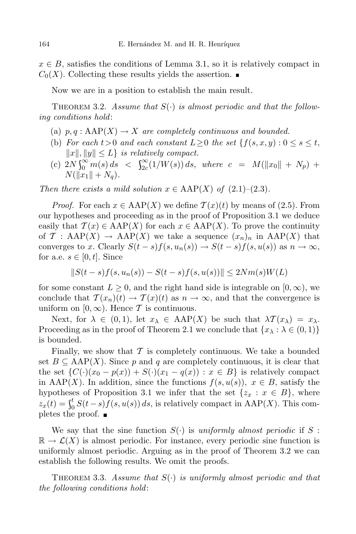$x \in B$ , satisfies the conditions of Lemma 3.1, so it is relatively compact in  $C_0(X)$ . Collecting these results yields the assertion.

Now we are in a position to establish the main result.

THEOREM 3.2. *Assume that*  $S(\cdot)$  *is almost periodic and that the following conditions hold*:

- (a)  $p, q : \text{AAP}(X) \to X$  are completely continuous and bounded.
- (b) *For* each  $t>0$  *and* each constant  $L\geq 0$  the set  $\{f(s, x, y): 0 \leq s \leq t,$  $||x||, ||y|| \leq L$ *} is relatively compact.*
- $\int_{c}^{c} (c) 2N \int_{0}^{\infty} m(s) ds < \int_{2c}^{\infty} (1/W(s)) ds$ , where  $c = M(\Vert x_0 \Vert + N_p) + C$  $N(\|\check{x}_1\| + N_a)$ .

*Then there exists a mild solution*  $x \in \text{ARP}(X)$  *of* (2.1)–(2.3)*.* 

*Proof.* For each  $x \in \text{ARP}(X)$  we define  $\mathcal{T}(x)(t)$  by means of (2.5). From our hypotheses and proceeding as in the proof of Proposition 3.1 we deduce easily that  $\mathcal{T}(x) \in \text{AAP}(X)$  for each  $x \in \text{AAP}(X)$ . To prove the continuity of *T* : AAP(*X*)  $\rightarrow$  AAP(*X*) we take a sequence  $(x_n)_n$  in AAP(*X*) that converges to x. Clearly  $S(t-s)f(s, u_n(s)) \to S(t-s)f(s, u(s))$  as  $n \to \infty$ , for a.e.  $s \in [0, t]$ . Since

$$
||S(t - s)f(s, u_n(s)) - S(t - s)f(s, u(s))|| \le 2Nm(s)W(L)
$$

for some constant  $L \geq 0$ , and the right hand side is integrable on  $[0, \infty)$ , we conclude that  $\mathcal{T}(x_n)(t) \to \mathcal{T}(x)(t)$  as  $n \to \infty$ , and that the convergence is uniform on  $[0, \infty)$ . Hence  $\mathcal T$  is continuous.

Next, for  $\lambda \in (0,1)$ , let  $x_{\lambda} \in \text{AP}(X)$  be such that  $\lambda \mathcal{T}(x_{\lambda}) = x_{\lambda}$ . Proceeding as in the proof of Theorem 2.1 we conclude that  $\{x_{\lambda} : \lambda \in (0,1)\}$ is bounded.

Finally, we show that  $\mathcal T$  is completely continuous. We take a bounded set  $B \subseteq \text{ARP}(X)$ . Since p and q are completely continuous, it is clear that the set  $\{C(\cdot)(x_0 - p(x)) + S(\cdot)(x_1 - q(x)) : x \in B\}$  is relatively compact in AAP(*X*). In addition, since the functions  $f(s, u(s))$ ,  $x \in B$ , satisfy the hypotheses of Proposition 3.1 we infer that the set  $\{z_x : x \in B\}$ , where  $z_x(t) = \int_0^t S(t \int_{0}^{t} S(t-s) f(s, u(s)) ds$ , is relatively compact in AAP(*X*). This completes the proof.  $\blacksquare$ 

We say that the sine function  $S(\cdot)$  is *uniformly almost periodic* if S:  $\mathbb{R} \to \mathcal{L}(X)$  is almost periodic. For instance, every periodic sine function is uniformly almost periodic. Arguing as in the proof of Theorem 3.2 we can establish the following results. We omit the proofs.

THEOREM 3.3. Assume that  $S(\cdot)$  is uniformly almost periodic and that *the following conditions hold*: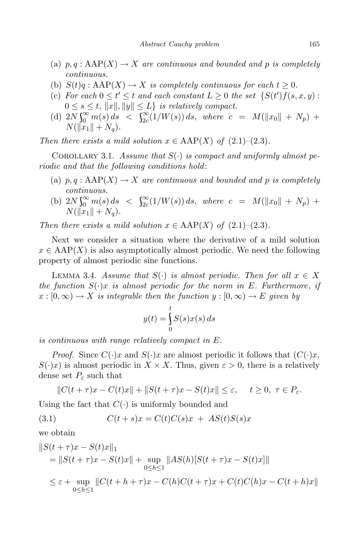- (a)  $p, q : \text{ARP}(X) \to X$  are continuous and bounded and p is completely *continuous.*
- (b)  $S(t)q : \text{ARP}(X) \to X$  *is completely continuous for each*  $t \geq 0$ *.*
- (c) For each  $0 \le t' \le t$  and each constant  $L \ge 0$  the set  $\{S(t')f(s,x,y):$  $0 \leq s \leq t$ ,  $||x||$ ,  $||y|| \leq L$ *) is relatively compact.*
- $\int_{2c}^{d} (1/W(s)) ds$   $\leq \int_{2c}^{\infty} (1/W(s)) ds$ , where  $c = M(\|x_0\| + N_p) +$  $N(\|x_1\| + N_a)$ .

*Then there exists a mild solution*  $x \in \text{ARP}(X)$  *of* (2.1)–(2.3)*.* 

COROLLARY 3.1. *Assume that*  $S(\cdot)$  *is compact and uniformly almost periodic and that the following conditions hold*:

- (a)  $p, q : \text{ARP}(X) \to X$  are continuous and bounded and p is completely *continuous.*
- (b)  $2N \int_0^\infty m(s) ds$   $\langle S \rangle_2^{\infty} (1/W(s)) ds$ , where  $c = M(\Vert x_0 \Vert + N_p) +$  $N(\|x_1\| + N_q).$

*Then there exists a mild solution*  $x \in \text{ARP}(X)$  *of* (2.1)–(2.3)*.* 

Next we consider a situation where the derivative of a mild solution  $x \in \text{AP}(X)$  is also asymptotically almost periodic. We need the following property of almost periodic sine functions.

LEMMA 3.4. *Assume that*  $S(\cdot)$  *is almost periodic. Then for all*  $x \in X$ *the function S*(*·*)*x is almost periodic for the norm in E. Furthermore*, *if*  $x : [0, \infty) \to X$  *is integrable then the function*  $y : [0, \infty) \to E$  *given* by

$$
y(t) = \int_{0}^{t} S(s)x(s) ds
$$

*is continuous with range relatively compact in E.*

*Proof.* Since  $C(\cdot)x$  and  $S(\cdot)x$  are almost periodic it follows that  $(C(\cdot)x)$ , *S*(*·*)*x*) is almost periodic in  $X \times X$ . Thus, given  $\varepsilon > 0$ , there is a relatively dense set  $P_{\varepsilon}$  such that

$$
||C(t+\tau)x - C(t)x|| + ||S(t+\tau)x - S(t)x|| \le \varepsilon, \quad t \ge 0, \ \tau \in P_{\varepsilon}.
$$

Using the fact that  $C(\cdot)$  is uniformly bounded and

$$
(3.1) \tC(t+s)x = C(t)C(s)x + AS(t)S(s)x
$$

we obtain

$$
||S(t + \tau)x - S(t)x||_1
$$
  
=  $||S(t + \tau)x - S(t)x|| + \sup_{0 \le h \le 1} ||AS(h)[S(t + \tau)x - S(t)x]||$   
 $\le \varepsilon + \sup_{0 \le h \le 1} ||C(t + h + \tau)x - C(h)C(t + \tau)x + C(t)C(h)x - C(t + h)x||$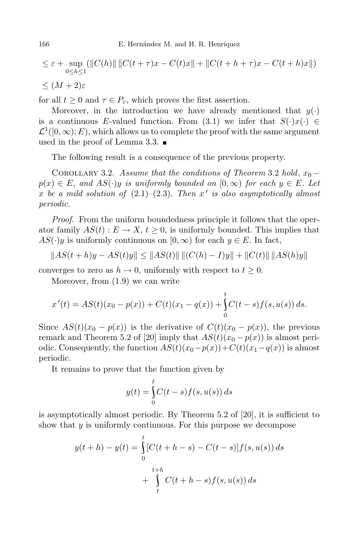$$
\leq \varepsilon + \sup_{0 \leq h \leq 1} (\|C(h)\| \|C(t + \tau)x - C(t)x\| + \|C(t + h + \tau)x - C(t + h)x\|)
$$

*≤* (*M* + 2)*ε*

for all  $t \geq 0$  and  $\tau \in P_{\varepsilon}$ , which proves the first assertion.

Moreover, in the introduction we have already mentioned that  $y(\cdot)$ is a continuous *E*-valued function. From (3.1) we infer that  $S(\cdot)x(\cdot) \in$  $\mathcal{L}^1([0,\infty); E)$ , which allows us to complete the proof with the same argument used in the proof of Lemma 3.3.  $\blacksquare$ 

The following result is a consequence of the previous property.

COROLLARY 3.2. *Assume that the conditions of Theorem* 3.2 *hold*,  $x_0$  –  $p(x) \in E$ , and  $AS(\cdot)y$  is uniformly bounded on  $[0, \infty)$  for each  $y \in E$ . Let  $x$  *be a mild* solution of  $(2.1)–(2.3)$ *. Then*  $x'$  *is* also asymptotically almost *periodic.*

*Proof.* From the uniform boundedness principle it follows that the operator family  $AS(t): E \to X, t \geq 0$ , is uniformly bounded. This implies that  $AS(\cdot)y$  is uniformly continuous on  $[0, \infty)$  for each  $y \in E$ . In fact,

$$
||AS(t+h)y - AS(t)y|| \le ||AS(t)|| ||(C(h) - I)y|| + ||C(t)|| ||AS(h)y||
$$

converges to zero as  $h \to 0$ , uniformly with respect to  $t \geq 0$ .

Moreover, from (1.9) we can write

$$
x'(t) = AS(t)(x_0 - p(x)) + C(t)(x_1 - q(x)) + \int_0^t C(t - s) f(s, u(s)) ds.
$$

Since  $AS(t)(x_0 - p(x))$  is the derivative of  $C(t)(x_0 - p(x))$ , the previous remark and Theorem 5.2 of [20] imply that  $AS(t)(x_0 - p(x))$  is almost periodic. Consequently, the function  $AS(t)(x_0 - p(x)) + C(t)(x_1 - q(x))$  is almost periodic.

It remains to prove that the function given by

$$
y(t) = \int_{0}^{t} C(t-s)f(s, u(s)) ds
$$

is asymptotically almost periodic. By Theorem 5.2 of [20], it is sufficient to show that *y* is uniformly continuous. For this purpose we decompose

$$
y(t + h) - y(t) = \int_{0}^{t} [C(t + h - s) - C(t - s)]f(s, u(s)) ds
$$
  
+ 
$$
\int_{t}^{t+h} C(t + h - s)f(s, u(s)) ds
$$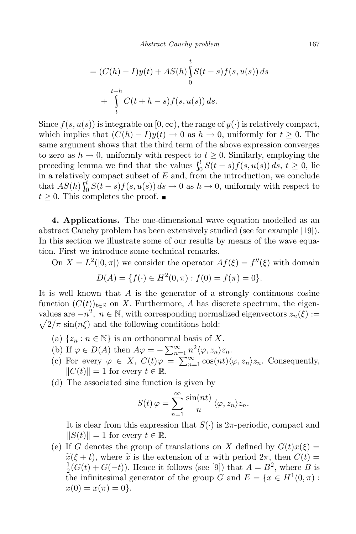$$
= (C(h) - I)y(t) + AS(h)\int_{0}^{t} S(t - s)f(s, u(s)) ds
$$
  
+ 
$$
\int_{t}^{t+h} C(t+h - s)f(s, u(s)) ds.
$$

Since  $f(s, u(s))$  is integrable on  $[0, \infty)$ , the range of  $y(\cdot)$  is relatively compact, which implies that  $(C(h) - I)y(t) \to 0$  as  $h \to 0$ , uniformly for  $t \geq 0$ . The same argument shows that the third term of the above expression converges to zero as  $h \to 0$ , uniformly with respect to  $t \geq 0$ . Similarly, employing the preceding lemma we find that the values  $\int_0^t S(t)$ 0 *S*(*t − s*)*f*(*s, u*(*s*)) *ds*, *t ≥* 0*,* lie in a relatively compact subset of *E* and, from the introduction, we conclude that  $AS(h) \int_0^t S(t)$  $\int_{0}^{b} S(t-s) f(s, u(s)) ds \to 0$  as  $h \to 0$ , uniformly with respect to  $t \geq 0$ . This completes the proof. ■

**4. Applications.** The one-dimensional wave equation modelled as an abstract Cauchy problem has been extensively studied (see for example [19]). In this section we illustrate some of our results by means of the wave equation. First we introduce some technical remarks.

On  $X = L^2([0, \pi])$  we consider the operator  $Af(\xi) = f''(\xi)$  with domain

$$
D(A) = \{ f(\cdot) \in H^2(0, \pi) : f(0) = f(\pi) = 0 \}.
$$

It is well known that *A* is the generator of a strongly continuous cosine function  $(C(t))_{t\in\mathbb{R}}$  on X. Furthermore, A has discrete spectrum, the eigenvalues are  $-n^2$ ,  $n \in \mathbb{N}$ , with corresponding normalized eigenvectors  $z_n(\xi) := \sqrt{2/\pi} \sin(n\xi)$  and the following conditions hold:  $\sqrt{2/\pi}$  sin( $n\xi$ ) and the following conditions hold:

- $(a) \{z_n : n \in \mathbb{N}\}\$ is an orthonormal basis of X.
- (b) If  $\varphi \in D(A)$  then  $A\varphi = -\sum_{n=1}^{\infty} n^2 \langle \varphi, z_n \rangle z_n$ .
- (c) For every  $\varphi \in X$ ,  $C(t)\varphi = \sum_{n=1}^{\infty} \cos(nt) \langle \varphi, z_n \rangle z_n$ . Consequently,  $||C(t)|| = 1$  for every  $t \in \mathbb{R}$ .
- (d) The associated sine function is given by

$$
S(t) \varphi = \sum_{n=1}^{\infty} \frac{\sin(nt)}{n} \langle \varphi, z_n \rangle z_n.
$$

It is clear from this expression that  $S(\cdot)$  is  $2\pi$ -periodic, compact and  $||S(t)|| = 1$  for every  $t \in \mathbb{R}$ .

(e) If *G* denotes the group of translations on *X* defined by  $G(t)x(\xi) =$  $\widetilde{x}(\xi + t)$ , where  $\widetilde{x}$  is the extension of *x* with period  $2\pi$ , then  $C(t)$ 1  $\frac{1}{2}(G(t) + G(-t))$ . Hence it follows (see [9]) that  $A = B^2$ , where *B* is the infinitesimal generator of the group *G* and  $E = \{x \in H^1(0, \pi) :$  $x(0) = x(\pi) = 0$ .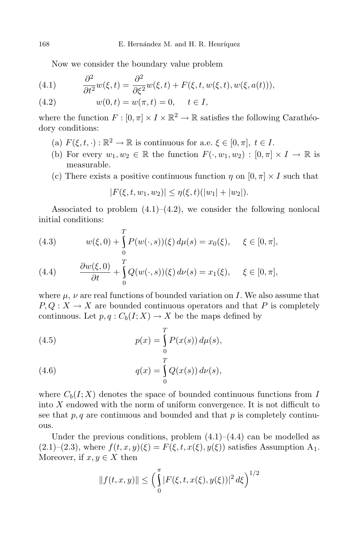Now we consider the boundary value problem

(4.1) 
$$
\frac{\partial^2}{\partial t^2}w(\xi,t) = \frac{\partial^2}{\partial \xi^2}w(\xi,t) + F(\xi,t,w(\xi,t),w(\xi,a(t))),
$$

(4.2) 
$$
w(0,t) = w(\pi, t) = 0, \quad t \in I,
$$

where the function  $F : [0, \pi] \times I \times \mathbb{R}^2 \to \mathbb{R}$  satisfies the following Carathéodory conditions:

- (a)  $F(\xi, t, \cdot) : \mathbb{R}^2 \to \mathbb{R}$  is continuous for a.e.  $\xi \in [0, \pi]$ ,  $t \in I$ .
- (b) For every  $w_1, w_2 \in \mathbb{R}$  the function  $F(\cdot, w_1, w_2) : [0, \pi] \times I \to \mathbb{R}$  is measurable.
- (c) There exists a positive continuous function  $\eta$  on  $[0, \pi] \times I$  such that

$$
|F(\xi, t, w_1, w_2)| \leq \eta(\xi, t)(|w_1| + |w_2|).
$$

Associated to problem  $(4.1)$ – $(4.2)$ , we consider the following nonlocal initial conditions:

(4.3) 
$$
w(\xi,0) + \int_{0}^{T} P(w(\cdot,s))(\xi) d\mu(s) = x_0(\xi), \quad \xi \in [0,\pi],
$$

(4.4) 
$$
\frac{\partial w(\xi,0)}{\partial t} + \int_{0}^{T} Q(w(\cdot,s))(\xi) d\nu(s) = x_1(\xi), \quad \xi \in [0,\pi],
$$

where  $\mu$ ,  $\nu$  are real functions of bounded variation on *I*. We also assume that  $P, Q: X \to X$  are bounded continuous operators and that P is completely continuous. Let  $p, q: C_b(I; X) \to X$  be the maps defined by

(4.5) 
$$
p(x) = \int_{0}^{T} P(x(s)) d\mu(s),
$$

(4.6) 
$$
q(x) = \int_{0}^{1} Q(x(s)) d\nu(s),
$$

where  $C_b(I; X)$  denotes the space of bounded continuous functions from *I* into *X* endowed with the norm of uniform convergence. It is not difficult to see that  $p, q$  are continuous and bounded and that  $p$  is completely continuous.

Under the previous conditions, problem  $(4.1)$ – $(4.4)$  can be modelled as  $(2.1)-(2.3)$ , where  $f(t,x,y)(\xi) = F(\xi, t, x(\xi), y(\xi))$  satisfies Assumption A<sub>1</sub>. Moreover, if  $x, y \in X$  then

$$
||f(t, x, y)|| \le \left(\int_{0}^{\pi} |F(\xi, t, x(\xi), y(\xi))|^2 d\xi\right)^{1/2}
$$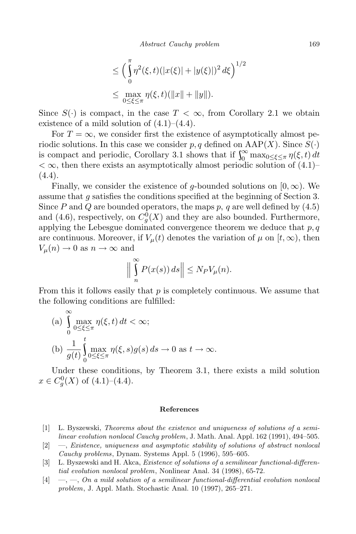$$
\leq \left(\int_{0}^{\pi} \eta^{2}(\xi, t)(|x(\xi)| + |y(\xi)|)^{2} d\xi\right)^{1/2}
$$
  

$$
\leq \max_{0 \leq \xi \leq \pi} \eta(\xi, t)(\|x\| + \|y\|).
$$

Since  $S(\cdot)$  is compact, in the case  $T < \infty$ , from Corollary 2.1 we obtain existence of a mild solution of  $(4.1)$ – $(4.4)$ .

For  $T = \infty$ , we consider first the existence of asymptotically almost periodic solutions. In this case we consider  $p, q$  defined on  $\text{AAP}(X)$ . Since  $S(\cdot)$ is compact and periodic, Corollary 3.1 shows that if  $\int_0^\infty \max_{0 \le \xi \le \pi} \eta(\xi, t) dt$  $<\infty$ , then there exists an asymptotically almost periodic solution of (4.1)– (4.4).

Finally, we consider the existence of *g*-bounded solutions on  $[0, \infty)$ . We assume that *g* satisfies the conditions specified at the beginning of Section 3. Since *P* and *Q* are bounded operators, the maps *p, q* are well defined by (4.5) and (4.6), respectively, on  $C_g^0(X)$  and they are also bounded. Furthermore, applying the Lebesgue dominated convergence theorem we deduce that *p, q* are continuous. Moreover, if  $V_\mu(t)$  denotes the variation of  $\mu$  on  $[t,\infty)$ , then  $V_\mu(n) \to 0$  as  $n \to \infty$  and

$$
\Big\|\int\limits_{n}^{\infty} P(x(s))\,ds\Big\|\leq N_P V_{\mu}(n).
$$

From this it follows easily that *p* is completely continuous. We assume that the following conditions are fulfilled:

(a) 
$$
\int_{0}^{\infty} \max_{0 \le \xi \le \pi} \eta(\xi, t) dt < \infty;
$$
  
(b) 
$$
\frac{1}{g(t)} \int_{0}^{t} \max_{0 \le \xi \le \pi} \eta(\xi, s) g(s) ds \to 0 \text{ as } t \to \infty.
$$

Under these conditions, by Theorem 3.1, there exists a mild solution  $x \in C_g^0(X)$  of  $(4.1)$ – $(4.4)$ .

## **References**

- [1] L. Byszewski, *Theorems about the existence and uniqueness of solutions of a semilinear evolution nonlocal Cauchy problem*, J. Math. Anal. Appl. 162 (1991), 494–505.
- [2] —, *Existence, uniqueness and asymptotic stability of solutions of abstract nonlocal Cauchy problems*, Dynam. Systems Appl. 5 (1996), 595–605.
- [3] L. Byszewski and H. Akca, *Existence of solutions of a semilinear functional-differential evolution nonlocal problem*, Nonlinear Anal. 34 (1998), 65-72.
- [4] —, —, *On a mild solution of a semilinear functional-differential evolution nonlocal problem*, J. Appl. Math. Stochastic Anal. 10 (1997), 265–271.